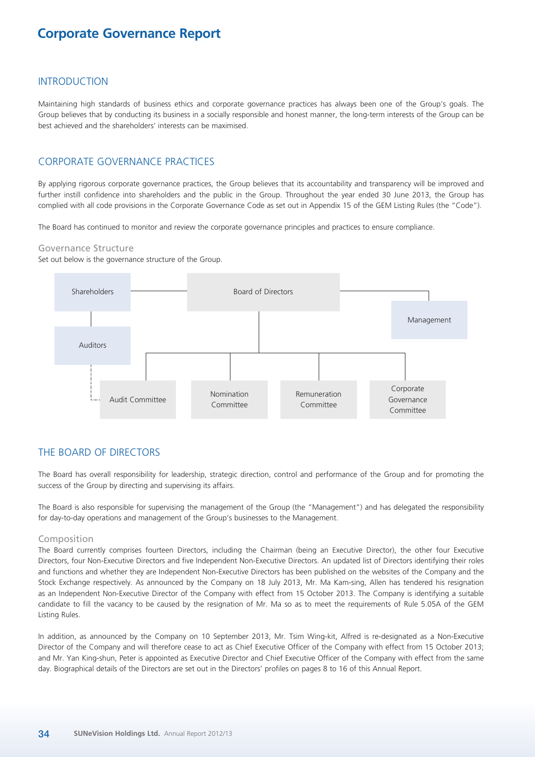### INTRODUCTION

Maintaining high standards of business ethics and corporate governance practices has always been one of the Group's goals. The Group believes that by conducting its business in a socially responsible and honest manner, the long-term interests of the Group can be best achieved and the shareholders' interests can be maximised.

### CORPORATE GOVERNANCE PRACTICES

By applying rigorous corporate governance practices, the Group believes that its accountability and transparency will be improved and further instill confidence into shareholders and the public in the Group. Throughout the year ended 30 June 2013, the Group has complied with all code provisions in the Corporate Governance Code as set out in Appendix 15 of the GEM Listing Rules (the "Code").

The Board has continued to monitor and review the corporate governance principles and practices to ensure compliance.

### Governance Structure

Set out below is the governance structure of the Group.



## THE BOARD OF DIRECTORS

The Board has overall responsibility for leadership, strategic direction, control and performance of the Group and for promoting the success of the Group by directing and supervising its affairs.

The Board is also responsible for supervising the management of the Group (the "Management") and has delegated the responsibility for day-to-day operations and management of the Group's businesses to the Management.

### Composition

The Board currently comprises fourteen Directors, including the Chairman (being an Executive Director), the other four Executive Directors, four Non-Executive Directors and five Independent Non-Executive Directors. An updated list of Directors identifying their roles and functions and whether they are Independent Non-Executive Directors has been published on the websites of the Company and the Stock Exchange respectively. As announced by the Company on 18 July 2013, Mr. Ma Kam-sing, Allen has tendered his resignation as an Independent Non-Executive Director of the Company with effect from 15 October 2013. The Company is identifying a suitable candidate to fill the vacancy to be caused by the resignation of Mr. Ma so as to meet the requirements of Rule 5.05A of the GEM Listing Rules.

In addition, as announced by the Company on 10 September 2013, Mr. Tsim Wing-kit, Alfred is re-designated as a Non-Executive Director of the Company and will therefore cease to act as Chief Executive Officer of the Company with effect from 15 October 2013; and Mr. Yan King-shun, Peter is appointed as Executive Director and Chief Executive Officer of the Company with effect from the same day. Biographical details of the Directors are set out in the Directors' profiles on pages 8 to 16 of this Annual Report.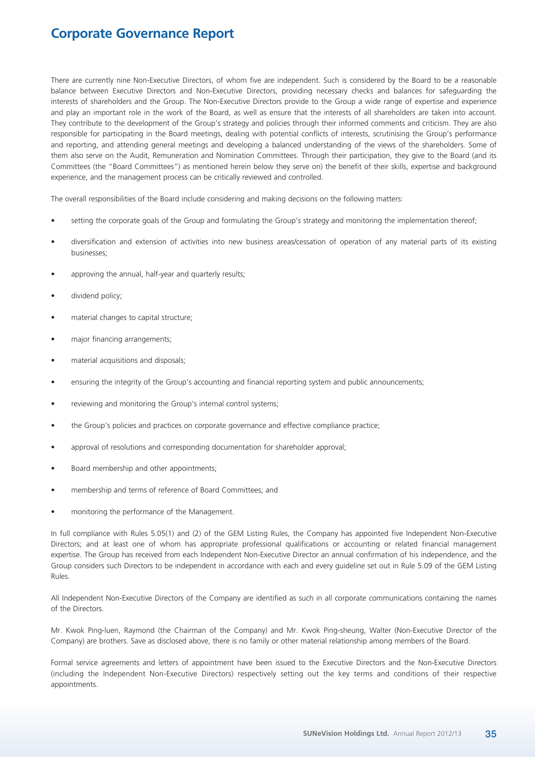There are currently nine Non-Executive Directors, of whom five are independent. Such is considered by the Board to be a reasonable balance between Executive Directors and Non-Executive Directors, providing necessary checks and balances for safeguarding the interests of shareholders and the Group. The Non-Executive Directors provide to the Group a wide range of expertise and experience and play an important role in the work of the Board, as well as ensure that the interests of all shareholders are taken into account. They contribute to the development of the Group's strategy and policies through their informed comments and criticism. They are also responsible for participating in the Board meetings, dealing with potential conflicts of interests, scrutinising the Group's performance and reporting, and attending general meetings and developing a balanced understanding of the views of the shareholders. Some of them also serve on the Audit, Remuneration and Nomination Committees. Through their participation, they give to the Board (and its Committees (the "Board Committees") as mentioned herein below they serve on) the benefit of their skills, expertise and background experience, and the management process can be critically reviewed and controlled.

The overall responsibilities of the Board include considering and making decisions on the following matters:

- setting the corporate goals of the Group and formulating the Group's strategy and monitoring the implementation thereof;
- diversification and extension of activities into new business areas/cessation of operation of any material parts of its existing businesses;
- approving the annual, half-year and quarterly results;
- dividend policy;
- material changes to capital structure;
- major financing arrangements;
- material acquisitions and disposals;
- ensuring the integrity of the Group's accounting and financial reporting system and public announcements;
- reviewing and monitoring the Group's internal control systems;
- the Group's policies and practices on corporate governance and effective compliance practice;
- approval of resolutions and corresponding documentation for shareholder approval;
- Board membership and other appointments;
- membership and terms of reference of Board Committees; and
- monitoring the performance of the Management.

In full compliance with Rules 5.05(1) and (2) of the GEM Listing Rules, the Company has appointed five Independent Non-Executive Directors; and at least one of whom has appropriate professional qualifications or accounting or related financial management expertise. The Group has received from each Independent Non-Executive Director an annual confirmation of his independence, and the Group considers such Directors to be independent in accordance with each and every guideline set out in Rule 5.09 of the GEM Listing Rules.

All Independent Non-Executive Directors of the Company are identified as such in all corporate communications containing the names of the Directors.

Mr. Kwok Ping-luen, Raymond (the Chairman of the Company) and Mr. Kwok Ping-sheung, Walter (Non-Executive Director of the Company) are brothers. Save as disclosed above, there is no family or other material relationship among members of the Board.

Formal service agreements and letters of appointment have been issued to the Executive Directors and the Non-Executive Directors (including the Independent Non-Executive Directors) respectively setting out the key terms and conditions of their respective appointments.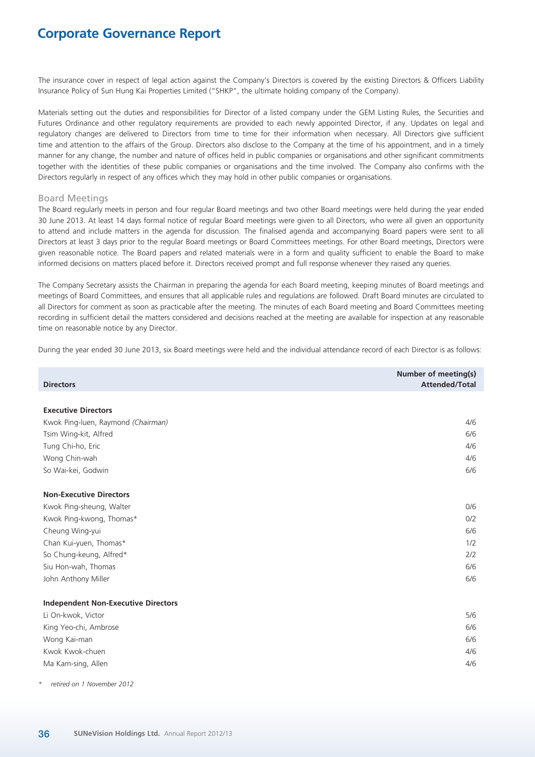The insurance cover in respect of legal action against the Company's Directors is covered by the existing Directors & Officers Liability Insurance Policy of Sun Hung Kai Properties Limited ("SHKP", the ultimate holding company of the Company).

Materials setting out the duties and responsibilities for Director of a listed company under the GEM Listing Rules, the Securities and Futures Ordinance and other regulatory requirements are provided to each newly appointed Director, if any. Updates on legal and regulatory changes are delivered to Directors from time to time for their information when necessary. All Directors give sufficient time and attention to the affairs of the Group. Directors also disclose to the Company at the time of his appointment, and in a timely manner for any change, the number and nature of offices held in public companies or organisations and other significant commitments together with the identities of these public companies or organisations and the time involved. The Company also confirms with the Directors regularly in respect of any offices which they may hold in other public companies or organisations.

### Board Meetings

The Board regularly meets in person and four regular Board meetings and two other Board meetings were held during the year ended 30 June 2013. At least 14 days formal notice of regular Board meetings were given to all Directors, who were all given an opportunity to attend and include matters in the agenda for discussion. The finalised agenda and accompanying Board papers were sent to all Directors at least 3 days prior to the regular Board meetings or Board Committees meetings. For other Board meetings, Directors were given reasonable notice. The Board papers and related materials were in a form and quality sufficient to enable the Board to make informed decisions on matters placed before it. Directors received prompt and full response whenever they raised any queries.

The Company Secretary assists the Chairman in preparing the agenda for each Board meeting, keeping minutes of Board meetings and meetings of Board Committees, and ensures that all applicable rules and regulations are followed. Draft Board minutes are circulated to all Directors for comment as soon as practicable after the meeting. The minutes of each Board meeting and Board Committees meeting recording in sufficient detail the matters considered and decisions reached at the meeting are available for inspection at any reasonable time on reasonable notice by any Director.

During the year ended 30 June 2013, six Board meetings were held and the individual attendance record of each Director is as follows:

| <b>Directors</b>                           | <b>Number of meeting(s)</b><br><b>Attended/Total</b> |
|--------------------------------------------|------------------------------------------------------|
|                                            |                                                      |
| <b>Executive Directors</b>                 |                                                      |
| Kwok Ping-luen, Raymond (Chairman)         | 4/6                                                  |
| Tsim Wing-kit, Alfred                      | 6/6                                                  |
| Tung Chi-ho, Eric                          | 4/6                                                  |
| Wong Chin-wah                              | 4/6                                                  |
| So Wai-kei, Godwin                         | 6/6                                                  |
| <b>Non-Executive Directors</b>             |                                                      |
| Kwok Ping-sheung, Walter                   | 0/6                                                  |
| Kwok Ping-kwong, Thomas*                   | 0/2                                                  |
| Cheung Wing-yui                            | 6/6                                                  |
| Chan Kui-yuen, Thomas*                     | 1/2                                                  |
| So Chung-keung, Alfred*                    | 2/2                                                  |
| Siu Hon-wah, Thomas                        | 6/6                                                  |
| John Anthony Miller                        | 6/6                                                  |
| <b>Independent Non-Executive Directors</b> |                                                      |
| Li On-kwok, Victor                         | 5/6                                                  |
| King Yeo-chi, Ambrose                      | 6/6                                                  |
| Wong Kai-man                               | 6/6                                                  |
| Kwok Kwok-chuen                            | 4/6                                                  |
| Ma Kam-sing, Allen                         | 4/6                                                  |

*\* retired on 1 November 2012*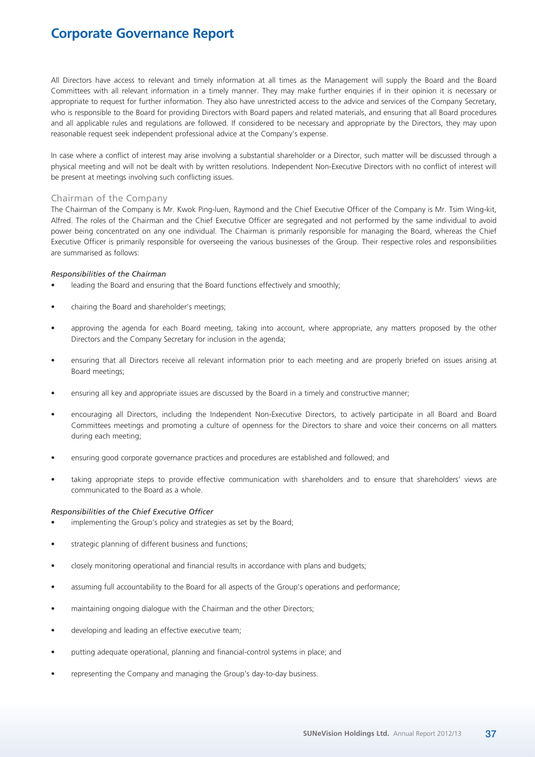All Directors have access to relevant and timely information at all times as the Management will supply the Board and the Board Committees with all relevant information in a timely manner. They may make further enquiries if in their opinion it is necessary or appropriate to request for further information. They also have unrestricted access to the advice and services of the Company Secretary, who is responsible to the Board for providing Directors with Board papers and related materials, and ensuring that all Board procedures and all applicable rules and regulations are followed. If considered to be necessary and appropriate by the Directors, they may upon reasonable request seek independent professional advice at the Company's expense.

In case where a conflict of interest may arise involving a substantial shareholder or a Director, such matter will be discussed through a physical meeting and will not be dealt with by written resolutions. Independent Non-Executive Directors with no conflict of interest will be present at meetings involving such conflicting issues.

### Chairman of the Company

The Chairman of the Company is Mr. Kwok Ping-luen, Raymond and the Chief Executive Officer of the Company is Mr. Tsim Wing-kit, Alfred. The roles of the Chairman and the Chief Executive Officer are segregated and not performed by the same individual to avoid power being concentrated on any one individual. The Chairman is primarily responsible for managing the Board, whereas the Chief Executive Officer is primarily responsible for overseeing the various businesses of the Group. Their respective roles and responsibilities are summarised as follows:

### *Responsibilities of the Chairman*

- leading the Board and ensuring that the Board functions effectively and smoothly;
- chairing the Board and shareholder's meetings;
- approving the agenda for each Board meeting, taking into account, where appropriate, any matters proposed by the other Directors and the Company Secretary for inclusion in the agenda;
- ensuring that all Directors receive all relevant information prior to each meeting and are properly briefed on issues arising at Board meetings;
- ensuring all key and appropriate issues are discussed by the Board in a timely and constructive manner;
- encouraging all Directors, including the Independent Non-Executive Directors, to actively participate in all Board and Board Committees meetings and promoting a culture of openness for the Directors to share and voice their concerns on all matters during each meeting;
- ensuring good corporate governance practices and procedures are established and followed; and
- taking appropriate steps to provide effective communication with shareholders and to ensure that shareholders' views are communicated to the Board as a whole.

#### *Responsibilities of the Chief Executive Officer*

- implementing the Group's policy and strategies as set by the Board;
- strategic planning of different business and functions;
- closely monitoring operational and financial results in accordance with plans and budgets;
- assuming full accountability to the Board for all aspects of the Group's operations and performance;
- maintaining ongoing dialogue with the Chairman and the other Directors;
- developing and leading an effective executive team;
- putting adequate operational, planning and financial-control systems in place; and
- representing the Company and managing the Group's day-to-day business.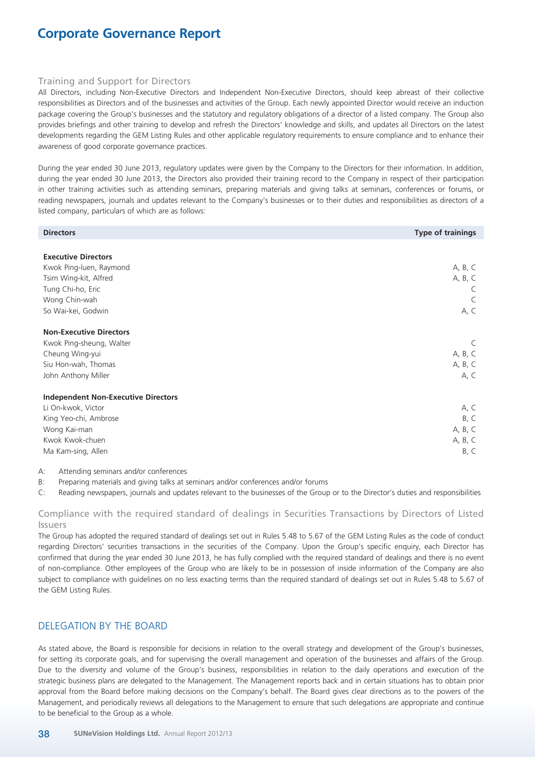### Training and Support for Directors

All Directors, including Non-Executive Directors and Independent Non-Executive Directors, should keep abreast of their collective responsibilities as Directors and of the businesses and activities of the Group. Each newly appointed Director would receive an induction package covering the Group's businesses and the statutory and regulatory obligations of a director of a listed company. The Group also provides briefings and other training to develop and refresh the Directors' knowledge and skills, and updates all Directors on the latest developments regarding the GEM Listing Rules and other applicable regulatory requirements to ensure compliance and to enhance their awareness of good corporate governance practices.

During the year ended 30 June 2013, regulatory updates were given by the Company to the Directors for their information. In addition, during the year ended 30 June 2013, the Directors also provided their training record to the Company in respect of their participation in other training activities such as attending seminars, preparing materials and giving talks at seminars, conferences or forums, or reading newspapers, journals and updates relevant to the Company's businesses or to their duties and responsibilities as directors of a listed company, particulars of which are as follows:

| <b>Directors</b>                           | <b>Type of trainings</b> |
|--------------------------------------------|--------------------------|
|                                            |                          |
| <b>Executive Directors</b>                 |                          |
| Kwok Ping-luen, Raymond                    | A, B, C                  |
| Tsim Wing-kit, Alfred                      | A, B, C                  |
| Tung Chi-ho, Eric                          | C                        |
| Wong Chin-wah                              | C                        |
| So Wai-kei, Godwin                         | A, C                     |
|                                            |                          |
| <b>Non-Executive Directors</b>             |                          |
| Kwok Ping-sheung, Walter                   | C                        |
| Cheung Wing-yui                            | A, B, C                  |
| Siu Hon-wah, Thomas                        | A, B, C                  |
| John Anthony Miller                        | A, C                     |
| <b>Independent Non-Executive Directors</b> |                          |
| Li On-kwok, Victor                         | A, C                     |
| King Yeo-chi, Ambrose                      | B, C                     |
| Wong Kai-man                               | A, B, C                  |
| Kwok Kwok-chuen                            | A, B, C                  |
| Ma Kam-sing, Allen                         | B, C                     |
|                                            |                          |

A: Attending seminars and/or conferences

B: Preparing materials and giving talks at seminars and/or conferences and/or forums

C: Reading newspapers, journals and updates relevant to the businesses of the Group or to the Director's duties and responsibilities

Compliance with the required standard of dealings in Securities Transactions by Directors of Listed Issuers

The Group has adopted the required standard of dealings set out in Rules 5.48 to 5.67 of the GEM Listing Rules as the code of conduct regarding Directors' securities transactions in the securities of the Company. Upon the Group's specific enquiry, each Director has confirmed that during the year ended 30 June 2013, he has fully complied with the required standard of dealings and there is no event of non-compliance. Other employees of the Group who are likely to be in possession of inside information of the Company are also subject to compliance with guidelines on no less exacting terms than the required standard of dealings set out in Rules 5.48 to 5.67 of the GEM Listing Rules.

## DELEGATION BY THE BOARD

As stated above, the Board is responsible for decisions in relation to the overall strategy and development of the Group's businesses, for setting its corporate goals, and for supervising the overall management and operation of the businesses and affairs of the Group. Due to the diversity and volume of the Group's business, responsibilities in relation to the daily operations and execution of the strategic business plans are delegated to the Management. The Management reports back and in certain situations has to obtain prior approval from the Board before making decisions on the Company's behalf. The Board gives clear directions as to the powers of the Management, and periodically reviews all delegations to the Management to ensure that such delegations are appropriate and continue to be beneficial to the Group as a whole.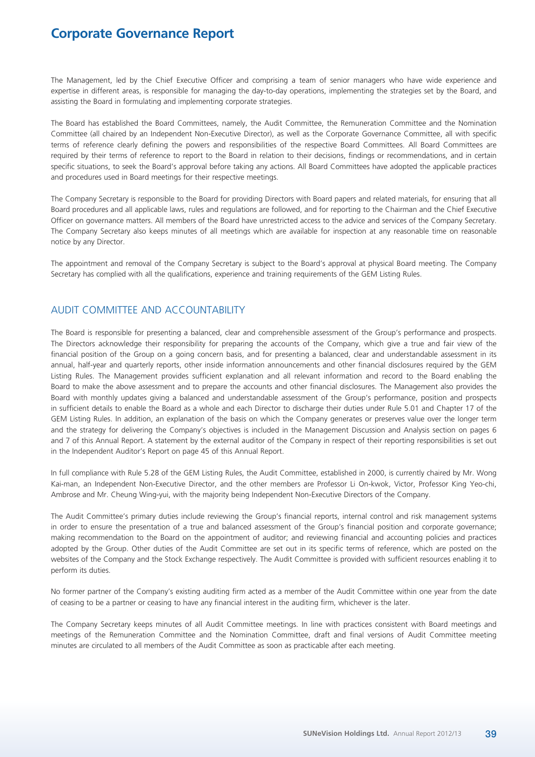The Management, led by the Chief Executive Officer and comprising a team of senior managers who have wide experience and expertise in different areas, is responsible for managing the day-to-day operations, implementing the strategies set by the Board, and assisting the Board in formulating and implementing corporate strategies.

The Board has established the Board Committees, namely, the Audit Committee, the Remuneration Committee and the Nomination Committee (all chaired by an Independent Non-Executive Director), as well as the Corporate Governance Committee, all with specific terms of reference clearly defining the powers and responsibilities of the respective Board Committees. All Board Committees are required by their terms of reference to report to the Board in relation to their decisions, findings or recommendations, and in certain specific situations, to seek the Board's approval before taking any actions. All Board Committees have adopted the applicable practices and procedures used in Board meetings for their respective meetings.

The Company Secretary is responsible to the Board for providing Directors with Board papers and related materials, for ensuring that all Board procedures and all applicable laws, rules and regulations are followed, and for reporting to the Chairman and the Chief Executive Officer on governance matters. All members of the Board have unrestricted access to the advice and services of the Company Secretary. The Company Secretary also keeps minutes of all meetings which are available for inspection at any reasonable time on reasonable notice by any Director.

The appointment and removal of the Company Secretary is subject to the Board's approval at physical Board meeting. The Company Secretary has complied with all the qualifications, experience and training requirements of the GEM Listing Rules.

## AUDIT COMMITTEE AND ACCOUNTABILITY

The Board is responsible for presenting a balanced, clear and comprehensible assessment of the Group's performance and prospects. The Directors acknowledge their responsibility for preparing the accounts of the Company, which give a true and fair view of the financial position of the Group on a going concern basis, and for presenting a balanced, clear and understandable assessment in its annual, half-year and quarterly reports, other inside information announcements and other financial disclosures required by the GEM Listing Rules. The Management provides sufficient explanation and all relevant information and record to the Board enabling the Board to make the above assessment and to prepare the accounts and other financial disclosures. The Management also provides the Board with monthly updates giving a balanced and understandable assessment of the Group's performance, position and prospects in sufficient details to enable the Board as a whole and each Director to discharge their duties under Rule 5.01 and Chapter 17 of the GEM Listing Rules. In addition, an explanation of the basis on which the Company generates or preserves value over the longer term and the strategy for delivering the Company's objectives is included in the Management Discussion and Analysis section on pages 6 and 7 of this Annual Report. A statement by the external auditor of the Company in respect of their reporting responsibilities is set out in the Independent Auditor's Report on page 45 of this Annual Report.

In full compliance with Rule 5.28 of the GEM Listing Rules, the Audit Committee, established in 2000, is currently chaired by Mr. Wong Kai-man, an Independent Non-Executive Director, and the other members are Professor Li On-kwok, Victor, Professor King Yeo-chi, Ambrose and Mr. Cheung Wing-yui, with the majority being Independent Non-Executive Directors of the Company.

The Audit Committee's primary duties include reviewing the Group's financial reports, internal control and risk management systems in order to ensure the presentation of a true and balanced assessment of the Group's financial position and corporate governance; making recommendation to the Board on the appointment of auditor; and reviewing financial and accounting policies and practices adopted by the Group. Other duties of the Audit Committee are set out in its specific terms of reference, which are posted on the websites of the Company and the Stock Exchange respectively. The Audit Committee is provided with sufficient resources enabling it to perform its duties.

No former partner of the Company's existing auditing firm acted as a member of the Audit Committee within one year from the date of ceasing to be a partner or ceasing to have any financial interest in the auditing firm, whichever is the later.

The Company Secretary keeps minutes of all Audit Committee meetings. In line with practices consistent with Board meetings and meetings of the Remuneration Committee and the Nomination Committee, draft and final versions of Audit Committee meeting minutes are circulated to all members of the Audit Committee as soon as practicable after each meeting.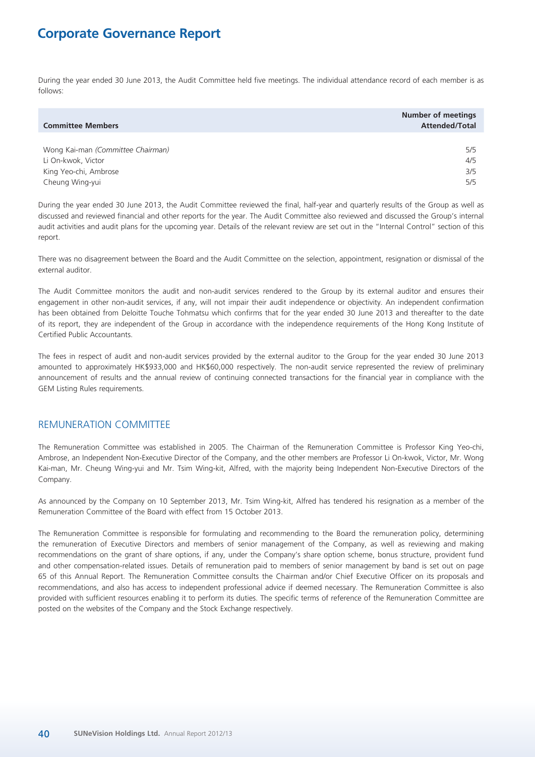During the year ended 30 June 2013, the Audit Committee held five meetings. The individual attendance record of each member is as follows:

| <b>Committee Members</b>          | <b>Number of meetings</b><br><b>Attended/Total</b> |
|-----------------------------------|----------------------------------------------------|
|                                   |                                                    |
| Wong Kai-man (Committee Chairman) | 5/5                                                |
| Li On-kwok, Victor                | 4/5                                                |
| King Yeo-chi, Ambrose             | 3/5                                                |
| Cheung Wing-yui                   | 5/5                                                |

During the year ended 30 June 2013, the Audit Committee reviewed the final, half-year and quarterly results of the Group as well as discussed and reviewed financial and other reports for the year. The Audit Committee also reviewed and discussed the Group's internal audit activities and audit plans for the upcoming year. Details of the relevant review are set out in the "Internal Control" section of this report.

There was no disagreement between the Board and the Audit Committee on the selection, appointment, resignation or dismissal of the external auditor.

The Audit Committee monitors the audit and non-audit services rendered to the Group by its external auditor and ensures their engagement in other non-audit services, if any, will not impair their audit independence or objectivity. An independent confirmation has been obtained from Deloitte Touche Tohmatsu which confirms that for the year ended 30 June 2013 and thereafter to the date of its report, they are independent of the Group in accordance with the independence requirements of the Hong Kong Institute of Certified Public Accountants.

The fees in respect of audit and non-audit services provided by the external auditor to the Group for the year ended 30 June 2013 amounted to approximately HK\$933,000 and HK\$60,000 respectively. The non-audit service represented the review of preliminary announcement of results and the annual review of continuing connected transactions for the financial year in compliance with the GEM Listing Rules requirements.

## REMUNERATION COMMITTEE

The Remuneration Committee was established in 2005. The Chairman of the Remuneration Committee is Professor King Yeo-chi, Ambrose, an Independent Non-Executive Director of the Company, and the other members are Professor Li On-kwok, Victor, Mr. Wong Kai-man, Mr. Cheung Wing-yui and Mr. Tsim Wing-kit, Alfred, with the majority being Independent Non-Executive Directors of the Company.

As announced by the Company on 10 September 2013, Mr. Tsim Wing-kit, Alfred has tendered his resignation as a member of the Remuneration Committee of the Board with effect from 15 October 2013.

The Remuneration Committee is responsible for formulating and recommending to the Board the remuneration policy, determining the remuneration of Executive Directors and members of senior management of the Company, as well as reviewing and making recommendations on the grant of share options, if any, under the Company's share option scheme, bonus structure, provident fund and other compensation-related issues. Details of remuneration paid to members of senior management by band is set out on page 65 of this Annual Report. The Remuneration Committee consults the Chairman and/or Chief Executive Officer on its proposals and recommendations, and also has access to independent professional advice if deemed necessary. The Remuneration Committee is also provided with sufficient resources enabling it to perform its duties. The specific terms of reference of the Remuneration Committee are posted on the websites of the Company and the Stock Exchange respectively.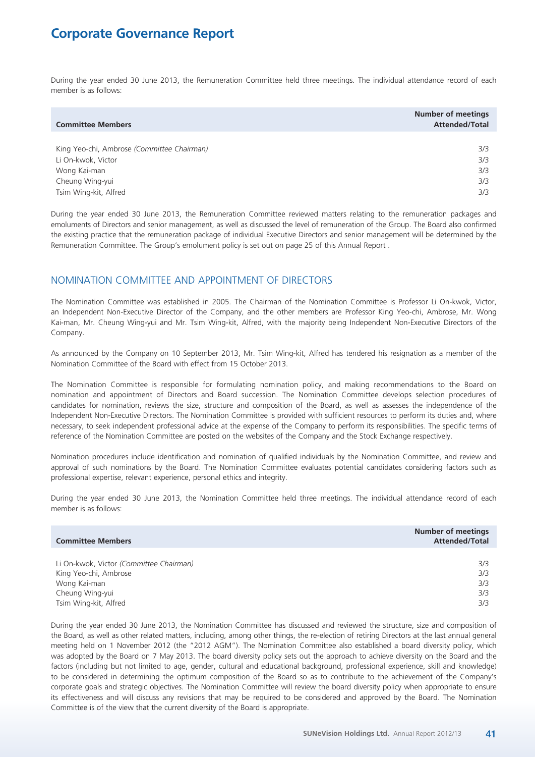During the year ended 30 June 2013, the Remuneration Committee held three meetings. The individual attendance record of each member is as follows:

| <b>Committee Members</b>                   | <b>Number of meetings</b><br><b>Attended/Total</b> |
|--------------------------------------------|----------------------------------------------------|
|                                            |                                                    |
| King Yeo-chi, Ambrose (Committee Chairman) | 3/3                                                |
| Li On-kwok, Victor                         | 3/3                                                |
| Wong Kai-man                               | 3/3                                                |
| Cheung Wing-yui                            | 3/3                                                |
| Tsim Wing-kit, Alfred                      | 3/3                                                |

During the year ended 30 June 2013, the Remuneration Committee reviewed matters relating to the remuneration packages and emoluments of Directors and senior management, as well as discussed the level of remuneration of the Group. The Board also confirmed the existing practice that the remuneration package of individual Executive Directors and senior management will be determined by the Remuneration Committee. The Group's emolument policy is set out on page 25 of this Annual Report .

## NOMINATION COMMITTEE AND APPOINTMENT OF DIRECTORS

The Nomination Committee was established in 2005. The Chairman of the Nomination Committee is Professor Li On-kwok, Victor, an Independent Non-Executive Director of the Company, and the other members are Professor King Yeo-chi, Ambrose, Mr. Wong Kai-man, Mr. Cheung Wing-yui and Mr. Tsim Wing-kit, Alfred, with the majority being Independent Non-Executive Directors of the Company.

As announced by the Company on 10 September 2013, Mr. Tsim Wing-kit, Alfred has tendered his resignation as a member of the Nomination Committee of the Board with effect from 15 October 2013.

The Nomination Committee is responsible for formulating nomination policy, and making recommendations to the Board on nomination and appointment of Directors and Board succession. The Nomination Committee develops selection procedures of candidates for nomination, reviews the size, structure and composition of the Board, as well as assesses the independence of the Independent Non-Executive Directors. The Nomination Committee is provided with sufficient resources to perform its duties and, where necessary, to seek independent professional advice at the expense of the Company to perform its responsibilities. The specific terms of reference of the Nomination Committee are posted on the websites of the Company and the Stock Exchange respectively.

Nomination procedures include identification and nomination of qualified individuals by the Nomination Committee, and review and approval of such nominations by the Board. The Nomination Committee evaluates potential candidates considering factors such as professional expertise, relevant experience, personal ethics and integrity.

During the year ended 30 June 2013, the Nomination Committee held three meetings. The individual attendance record of each member is as follows:

| <b>Committee Members</b>                | <b>Number of meetings</b><br><b>Attended/Total</b> |
|-----------------------------------------|----------------------------------------------------|
|                                         |                                                    |
| Li On-kwok, Victor (Committee Chairman) | 3/3                                                |
| King Yeo-chi, Ambrose                   | 3/3                                                |
| Wong Kai-man                            | 3/3                                                |
| Cheung Wing-yui                         | 3/3                                                |
| Tsim Wing-kit, Alfred                   | 3/3                                                |

During the year ended 30 June 2013, the Nomination Committee has discussed and reviewed the structure, size and composition of the Board, as well as other related matters, including, among other things, the re-election of retiring Directors at the last annual general meeting held on 1 November 2012 (the "2012 AGM"). The Nomination Committee also established a board diversity policy, which was adopted by the Board on 7 May 2013. The board diversity policy sets out the approach to achieve diversity on the Board and the factors (including but not limited to age, gender, cultural and educational background, professional experience, skill and knowledge) to be considered in determining the optimum composition of the Board so as to contribute to the achievement of the Company's corporate goals and strategic objectives. The Nomination Committee will review the board diversity policy when appropriate to ensure its effectiveness and will discuss any revisions that may be required to be considered and approved by the Board. The Nomination Committee is of the view that the current diversity of the Board is appropriate.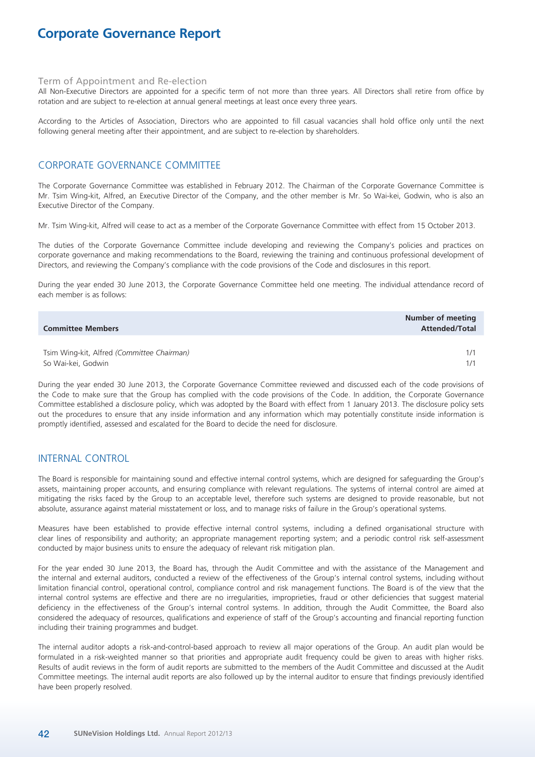### Term of Appointment and Re-election

All Non-Executive Directors are appointed for a specific term of not more than three years. All Directors shall retire from office by rotation and are subject to re-election at annual general meetings at least once every three years.

According to the Articles of Association, Directors who are appointed to fill casual vacancies shall hold office only until the next following general meeting after their appointment, and are subject to re-election by shareholders.

## CORPORATE GOVERNANCE COMMITTEE

The Corporate Governance Committee was established in February 2012. The Chairman of the Corporate Governance Committee is Mr. Tsim Wing-kit, Alfred, an Executive Director of the Company, and the other member is Mr. So Wai-kei, Godwin, who is also an Executive Director of the Company.

Mr. Tsim Wing-kit, Alfred will cease to act as a member of the Corporate Governance Committee with effect from 15 October 2013.

The duties of the Corporate Governance Committee include developing and reviewing the Company's policies and practices on corporate governance and making recommendations to the Board, reviewing the training and continuous professional development of Directors, and reviewing the Company's compliance with the code provisions of the Code and disclosures in this report.

During the year ended 30 June 2013, the Corporate Governance Committee held one meeting. The individual attendance record of each member is as follows:

| <b>Committee Members</b>                   | Number of meeting<br><b>Attended/Total</b> |
|--------------------------------------------|--------------------------------------------|
|                                            |                                            |
| Tsim Wing-kit, Alfred (Committee Chairman) | 1/1                                        |
| So Wai-kei, Godwin                         |                                            |

During the year ended 30 June 2013, the Corporate Governance Committee reviewed and discussed each of the code provisions of the Code to make sure that the Group has complied with the code provisions of the Code. In addition, the Corporate Governance Committee established a disclosure policy, which was adopted by the Board with effect from 1 January 2013. The disclosure policy sets out the procedures to ensure that any inside information and any information which may potentially constitute inside information is promptly identified, assessed and escalated for the Board to decide the need for disclosure.

### INTERNAL CONTROL

The Board is responsible for maintaining sound and effective internal control systems, which are designed for safeguarding the Group's assets, maintaining proper accounts, and ensuring compliance with relevant regulations. The systems of internal control are aimed at mitigating the risks faced by the Group to an acceptable level, therefore such systems are designed to provide reasonable, but not absolute, assurance against material misstatement or loss, and to manage risks of failure in the Group's operational systems.

Measures have been established to provide effective internal control systems, including a defined organisational structure with clear lines of responsibility and authority; an appropriate management reporting system; and a periodic control risk self-assessment conducted by major business units to ensure the adequacy of relevant risk mitigation plan.

For the year ended 30 June 2013, the Board has, through the Audit Committee and with the assistance of the Management and the internal and external auditors, conducted a review of the effectiveness of the Group's internal control systems, including without limitation financial control, operational control, compliance control and risk management functions. The Board is of the view that the internal control systems are effective and there are no irregularities, improprieties, fraud or other deficiencies that suggest material deficiency in the effectiveness of the Group's internal control systems. In addition, through the Audit Committee, the Board also considered the adequacy of resources, qualifications and experience of staff of the Group's accounting and financial reporting function including their training programmes and budget.

The internal auditor adopts a risk-and-control-based approach to review all major operations of the Group. An audit plan would be formulated in a risk-weighted manner so that priorities and appropriate audit frequency could be given to areas with higher risks. Results of audit reviews in the form of audit reports are submitted to the members of the Audit Committee and discussed at the Audit Committee meetings. The internal audit reports are also followed up by the internal auditor to ensure that findings previously identified have been properly resolved.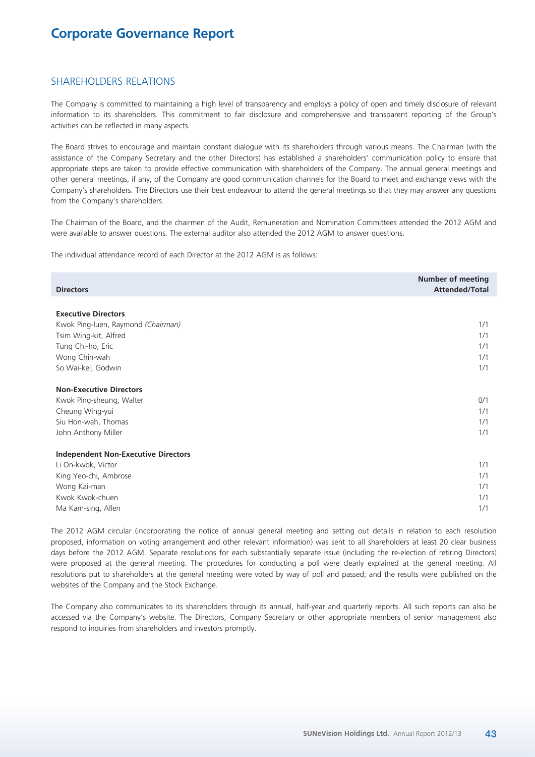### SHAREHOLDERS RELATIONS

The Company is committed to maintaining a high level of transparency and employs a policy of open and timely disclosure of relevant information to its shareholders. This commitment to fair disclosure and comprehensive and transparent reporting of the Group's activities can be reflected in many aspects.

The Board strives to encourage and maintain constant dialogue with its shareholders through various means. The Chairman (with the assistance of the Company Secretary and the other Directors) has established a shareholders' communication policy to ensure that appropriate steps are taken to provide effective communication with shareholders of the Company. The annual general meetings and other general meetings, if any, of the Company are good communication channels for the Board to meet and exchange views with the Company's shareholders. The Directors use their best endeavour to attend the general meetings so that they may answer any questions from the Company's shareholders.

The Chairman of the Board, and the chairmen of the Audit, Remuneration and Nomination Committees attended the 2012 AGM and were available to answer questions. The external auditor also attended the 2012 AGM to answer questions.

The individual attendance record of each Director at the 2012 AGM is as follows:

| <b>Directors</b>                           | <b>Number of meeting</b><br><b>Attended/Total</b> |
|--------------------------------------------|---------------------------------------------------|
|                                            |                                                   |
| <b>Executive Directors</b>                 |                                                   |
| Kwok Ping-luen, Raymond (Chairman)         | 1/1                                               |
| Tsim Wing-kit, Alfred                      | 1/1                                               |
| Tung Chi-ho, Eric                          | 1/1                                               |
| Wong Chin-wah                              | 1/1                                               |
| So Wai-kei, Godwin                         | 1/1                                               |
| <b>Non-Executive Directors</b>             |                                                   |
| Kwok Ping-sheung, Walter                   | 0/1                                               |
| Cheung Wing-yui                            | 1/1                                               |
| Siu Hon-wah, Thomas                        | 1/1                                               |
| John Anthony Miller                        | 1/1                                               |
| <b>Independent Non-Executive Directors</b> |                                                   |
| Li On-kwok, Victor                         | 1/1                                               |
| King Yeo-chi, Ambrose                      | 1/1                                               |
| Wong Kai-man                               | 1/1                                               |
| Kwok Kwok-chuen                            | 1/1                                               |
| Ma Kam-sing, Allen                         | 1/1                                               |

The 2012 AGM circular (incorporating the notice of annual general meeting and setting out details in relation to each resolution proposed, information on voting arrangement and other relevant information) was sent to all shareholders at least 20 clear business days before the 2012 AGM. Separate resolutions for each substantially separate issue (including the re-election of retiring Directors) were proposed at the general meeting. The procedures for conducting a poll were clearly explained at the general meeting. All resolutions put to shareholders at the general meeting were voted by way of poll and passed; and the results were published on the websites of the Company and the Stock Exchange.

The Company also communicates to its shareholders through its annual, half-year and quarterly reports. All such reports can also be accessed via the Company's website. The Directors, Company Secretary or other appropriate members of senior management also respond to inquiries from shareholders and investors promptly.